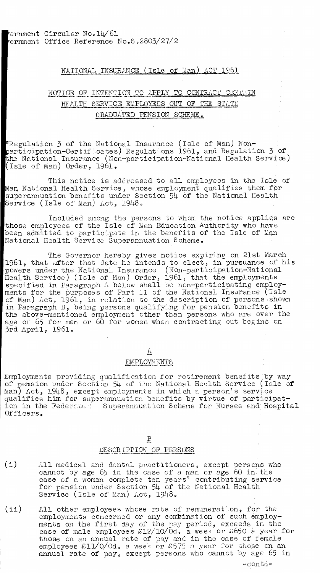### NATIONAL INSURANCE (Isle of Man) ACT 1961

# NOTICE OF INTENTION TO APPLY TO CONTRACT CERTAIN HEALTH SERVICE EMPLOYEES OUT OF THE STATE GRADUATED PENSION SCHEME.

Regulation 3 of the National Insurance (Isle of Man) Nonarticipation-Certificates) Regulations 1961, and Regulation 3 of the National Insurance (Non-participation-National Health Service) Isle of Man) Order, 1961.

This notice is addressed to all employees in the Isle of Man National Health Service, whose employment qualifies them for superannuation benefits under Section 54 of the National Health Service (Isle of Man)  $\mu$ ct, 1948.

Included among the persons to whom the notice applies are those employees of the Isle of Man Education Authority who have been admitted to participate in the benefits of the Isle of Man National Health Service Superannuation Scheme.

The Governor hereby gives notice expiring on 21st March 1961, that after that date he intends to elect, in pursuance of his powers under the National Insurance (Non-participation-National Health' Service) (Isle of Man) Order, 1961, that the employments specified in Paragraph A below shall be non-participating employments for the purposes of Part II of the National Insurance (Isle of Man) Act, 1961, in relation to the description of persons shown in Paragraph B, being persons qualifying for pension benefits in the above-mentioned employment other than persons who are over the age of 65 for men or 60 for women when contracting out begins on 3rd April, 1961.

## $\triangle$

#### EMPLOYMENTS

Employments providing qualification for retirement benefits by way of pension under Section 54 of the National Health Service (Isle of Man) Act, 1948, except employments in which a person's service qualifies him for superannuation benefits by virtue of participation in the Federated Superannuation Scheme for Nurses and Hospital Officers.

#### $\overline{B}$

# DESCRIPTION OF PERSONS

- All medical and dental practitioners, except persons who cannot by age 65 in the case of a man or age 60 in the case of a woman complete ten years' contributing service for pension under Section 54 of the National Health Service (Isle of Man) Act, 1948. (i)
- (ii) All other employees whose rate of remuneration, for the employments concerned or any combination of such employments on the first day of the nay period, exceeds in the case of male employees  $\text{$}212/\text{10}/\text{0d}$ . a week or £650 a year for those on an annual rate of pay and in the case of female employees  $\text{\textsterling}\,11/0/0d$ , a week or  $\text{\textsterling}\,575$  a year for those on an annual rate of pay, except persons who cannot by age 65 in